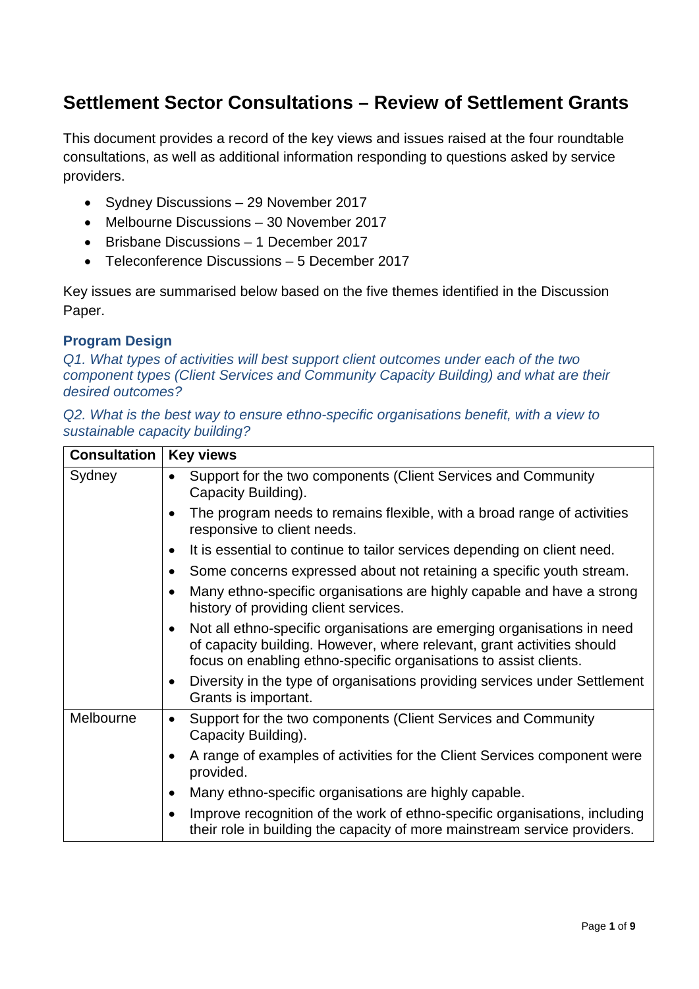# **Settlement Sector Consultations – Review of Settlement Grants**

This document provides a record of the key views and issues raised at the four roundtable consultations, as well as additional information responding to questions asked by service providers.

- Sydney Discussions 29 November 2017
- Melbourne Discussions 30 November 2017
- Brisbane Discussions 1 December 2017
- Teleconference Discussions 5 December 2017

Key issues are summarised below based on the five themes identified in the Discussion Paper.

#### **Program Design**

*Q1. What types of activities will best support client outcomes under each of the two component types (Client Services and Community Capacity Building) and what are their desired outcomes?*

*Q2. What is the best way to ensure ethno-specific organisations benefit, with a view to sustainable capacity building?*

| <b>Consultation</b> | <b>Key views</b>                                                                                                                                                                                                                    |
|---------------------|-------------------------------------------------------------------------------------------------------------------------------------------------------------------------------------------------------------------------------------|
| Sydney              | Support for the two components (Client Services and Community<br>Capacity Building).                                                                                                                                                |
|                     | The program needs to remains flexible, with a broad range of activities<br>responsive to client needs.                                                                                                                              |
|                     | It is essential to continue to tailor services depending on client need.                                                                                                                                                            |
|                     | Some concerns expressed about not retaining a specific youth stream.                                                                                                                                                                |
|                     | Many ethno-specific organisations are highly capable and have a strong<br>history of providing client services.                                                                                                                     |
|                     | Not all ethno-specific organisations are emerging organisations in need<br>$\bullet$<br>of capacity building. However, where relevant, grant activities should<br>focus on enabling ethno-specific organisations to assist clients. |
|                     | Diversity in the type of organisations providing services under Settlement<br>$\bullet$<br>Grants is important.                                                                                                                     |
| Melbourne           | Support for the two components (Client Services and Community<br>$\bullet$<br>Capacity Building).                                                                                                                                   |
|                     | A range of examples of activities for the Client Services component were<br>provided.                                                                                                                                               |
|                     | Many ethno-specific organisations are highly capable.<br>$\bullet$                                                                                                                                                                  |
|                     | Improve recognition of the work of ethno-specific organisations, including<br>their role in building the capacity of more mainstream service providers.                                                                             |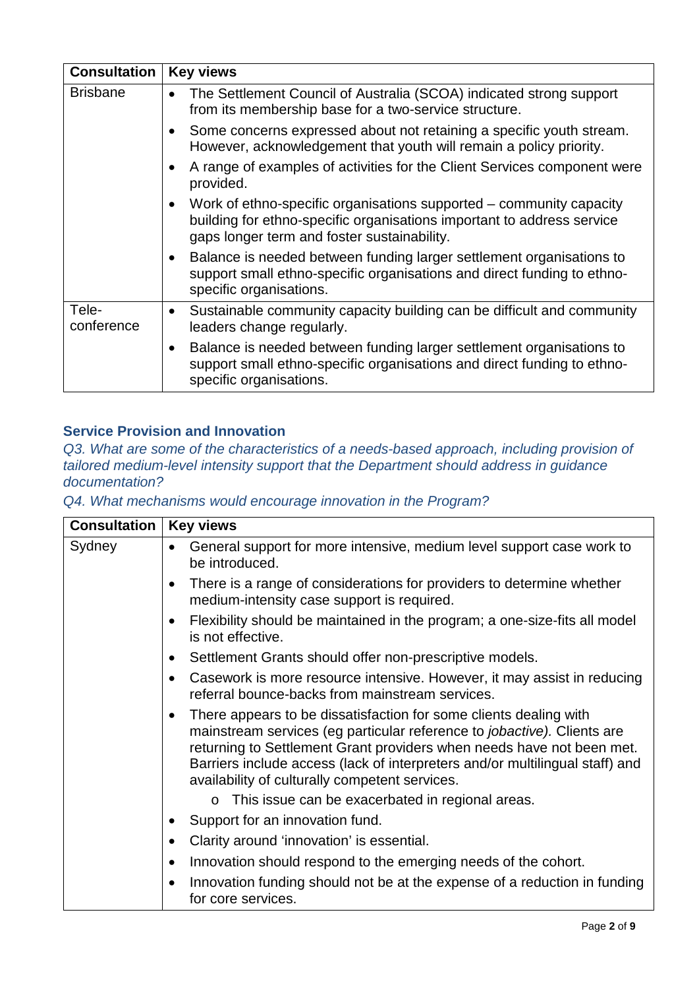| <b>Consultation</b> | <b>Key views</b>                                                                                                                                                                                          |
|---------------------|-----------------------------------------------------------------------------------------------------------------------------------------------------------------------------------------------------------|
| <b>Brisbane</b>     | The Settlement Council of Australia (SCOA) indicated strong support<br>$\bullet$<br>from its membership base for a two-service structure.                                                                 |
|                     | Some concerns expressed about not retaining a specific youth stream.<br>$\bullet$<br>However, acknowledgement that youth will remain a policy priority.                                                   |
|                     | A range of examples of activities for the Client Services component were<br>provided.                                                                                                                     |
|                     | Work of ethno-specific organisations supported – community capacity<br>$\bullet$<br>building for ethno-specific organisations important to address service<br>gaps longer term and foster sustainability. |
|                     | Balance is needed between funding larger settlement organisations to<br>$\bullet$<br>support small ethno-specific organisations and direct funding to ethno-<br>specific organisations.                   |
| Tele-<br>conference | Sustainable community capacity building can be difficult and community<br>$\bullet$<br>leaders change regularly.                                                                                          |
|                     | Balance is needed between funding larger settlement organisations to<br>$\bullet$<br>support small ethno-specific organisations and direct funding to ethno-<br>specific organisations.                   |

### **Service Provision and Innovation**

*Q3. What are some of the characteristics of a needs-based approach, including provision of tailored medium-level intensity support that the Department should address in guidance documentation?*

*Q4. What mechanisms would encourage innovation in the Program?* 

| <b>Consultation</b> | <b>Key views</b>                                                                                                                                                                                                                                                                                                                                                     |
|---------------------|----------------------------------------------------------------------------------------------------------------------------------------------------------------------------------------------------------------------------------------------------------------------------------------------------------------------------------------------------------------------|
| Sydney              | General support for more intensive, medium level support case work to<br>be introduced.                                                                                                                                                                                                                                                                              |
|                     | There is a range of considerations for providers to determine whether<br>$\bullet$<br>medium-intensity case support is required.                                                                                                                                                                                                                                     |
|                     | Flexibility should be maintained in the program; a one-size-fits all model<br>is not effective.                                                                                                                                                                                                                                                                      |
|                     | Settlement Grants should offer non-prescriptive models.                                                                                                                                                                                                                                                                                                              |
|                     | Casework is more resource intensive. However, it may assist in reducing<br>$\bullet$<br>referral bounce-backs from mainstream services.                                                                                                                                                                                                                              |
|                     | There appears to be dissatisfaction for some clients dealing with<br>$\bullet$<br>mainstream services (eg particular reference to jobactive). Clients are<br>returning to Settlement Grant providers when needs have not been met.<br>Barriers include access (lack of interpreters and/or multilingual staff) and<br>availability of culturally competent services. |
|                     | This issue can be exacerbated in regional areas.<br>$\circ$                                                                                                                                                                                                                                                                                                          |
|                     | Support for an innovation fund.                                                                                                                                                                                                                                                                                                                                      |
|                     | Clarity around 'innovation' is essential.                                                                                                                                                                                                                                                                                                                            |
|                     | Innovation should respond to the emerging needs of the cohort.<br>$\bullet$                                                                                                                                                                                                                                                                                          |
|                     | Innovation funding should not be at the expense of a reduction in funding<br>for core services.                                                                                                                                                                                                                                                                      |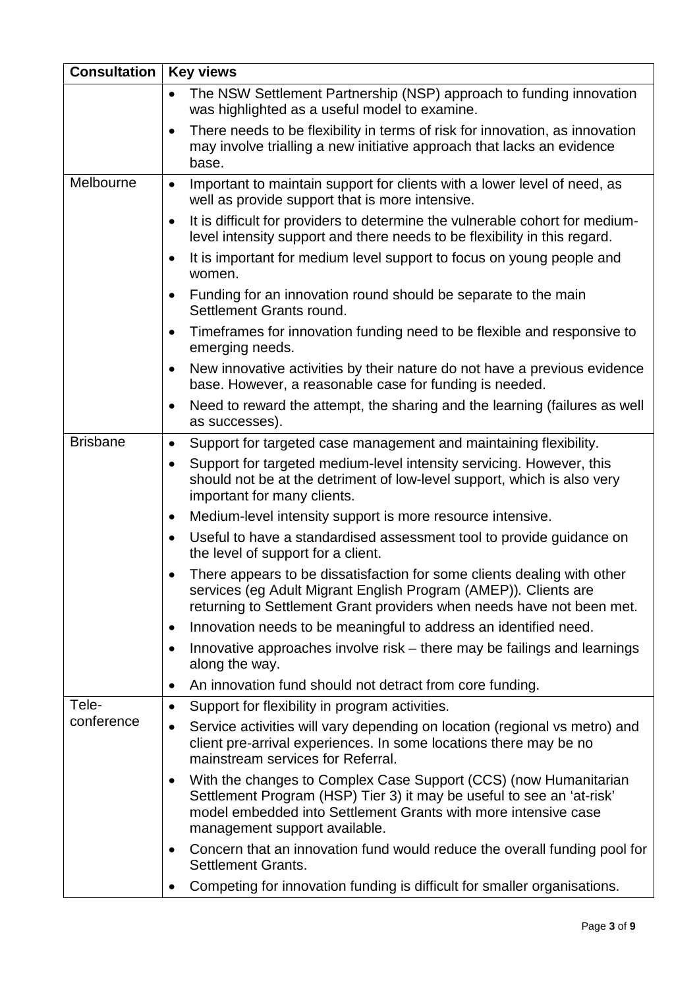| <b>Consultation</b> | <b>Key views</b>                                                                                                                                                                                                                                          |
|---------------------|-----------------------------------------------------------------------------------------------------------------------------------------------------------------------------------------------------------------------------------------------------------|
|                     | The NSW Settlement Partnership (NSP) approach to funding innovation<br>$\bullet$<br>was highlighted as a useful model to examine.                                                                                                                         |
|                     | There needs to be flexibility in terms of risk for innovation, as innovation<br>$\bullet$<br>may involve trialling a new initiative approach that lacks an evidence<br>base.                                                                              |
| Melbourne           | Important to maintain support for clients with a lower level of need, as<br>$\bullet$<br>well as provide support that is more intensive.                                                                                                                  |
|                     | It is difficult for providers to determine the vulnerable cohort for medium-<br>$\bullet$<br>level intensity support and there needs to be flexibility in this regard.                                                                                    |
|                     | It is important for medium level support to focus on young people and<br>$\bullet$<br>women.                                                                                                                                                              |
|                     | Funding for an innovation round should be separate to the main<br>Settlement Grants round.                                                                                                                                                                |
|                     | Timeframes for innovation funding need to be flexible and responsive to<br>$\bullet$<br>emerging needs.                                                                                                                                                   |
|                     | New innovative activities by their nature do not have a previous evidence<br>$\bullet$<br>base. However, a reasonable case for funding is needed.                                                                                                         |
|                     | Need to reward the attempt, the sharing and the learning (failures as well<br>$\bullet$<br>as successes).                                                                                                                                                 |
| <b>Brisbane</b>     | Support for targeted case management and maintaining flexibility.<br>$\bullet$                                                                                                                                                                            |
|                     | Support for targeted medium-level intensity servicing. However, this<br>$\bullet$<br>should not be at the detriment of low-level support, which is also very<br>important for many clients.                                                               |
|                     | Medium-level intensity support is more resource intensive.<br>$\bullet$                                                                                                                                                                                   |
|                     | Useful to have a standardised assessment tool to provide guidance on<br>$\bullet$<br>the level of support for a client.                                                                                                                                   |
|                     | There appears to be dissatisfaction for some clients dealing with other<br>services (eg Adult Migrant English Program (AMEP)). Clients are<br>returning to Settlement Grant providers when needs have not been met.                                       |
|                     | Innovation needs to be meaningful to address an identified need.<br>$\bullet$                                                                                                                                                                             |
|                     | Innovative approaches involve risk – there may be failings and learnings<br>$\bullet$<br>along the way.                                                                                                                                                   |
|                     | An innovation fund should not detract from core funding.<br>$\bullet$                                                                                                                                                                                     |
| Tele-               | Support for flexibility in program activities.<br>$\bullet$                                                                                                                                                                                               |
| conference          | Service activities will vary depending on location (regional vs metro) and<br>$\bullet$<br>client pre-arrival experiences. In some locations there may be no<br>mainstream services for Referral.                                                         |
|                     | With the changes to Complex Case Support (CCS) (now Humanitarian<br>$\bullet$<br>Settlement Program (HSP) Tier 3) it may be useful to see an 'at-risk'<br>model embedded into Settlement Grants with more intensive case<br>management support available. |
|                     | Concern that an innovation fund would reduce the overall funding pool for<br><b>Settlement Grants.</b>                                                                                                                                                    |
|                     | Competing for innovation funding is difficult for smaller organisations.                                                                                                                                                                                  |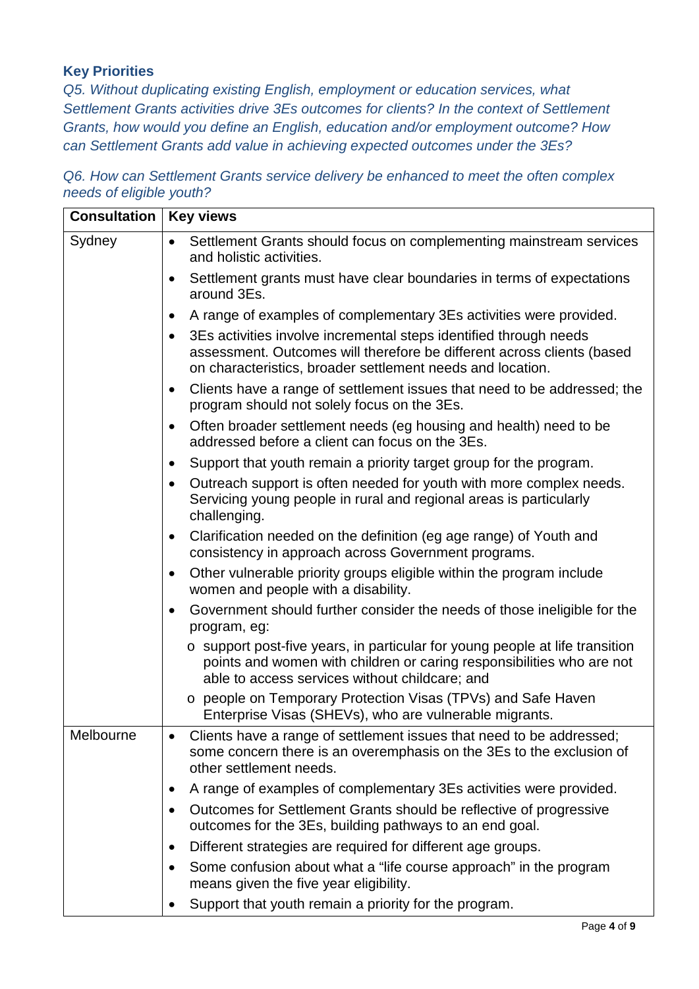### **Key Priorities**

*Q5. Without duplicating existing English, employment or education services, what Settlement Grants activities drive 3Es outcomes for clients? In the context of Settlement Grants, how would you define an English, education and/or employment outcome? How can Settlement Grants add value in achieving expected outcomes under the 3Es?*

*Q6. How can Settlement Grants service delivery be enhanced to meet the often complex needs of eligible youth?*

| <b>Consultation</b> | <b>Key views</b>                                                                                                                                                                                                       |
|---------------------|------------------------------------------------------------------------------------------------------------------------------------------------------------------------------------------------------------------------|
| Sydney              | Settlement Grants should focus on complementing mainstream services<br>$\bullet$<br>and holistic activities.                                                                                                           |
|                     | Settlement grants must have clear boundaries in terms of expectations<br>٠<br>around 3Es.                                                                                                                              |
|                     | A range of examples of complementary 3Es activities were provided.<br>$\bullet$                                                                                                                                        |
|                     | 3Es activities involve incremental steps identified through needs<br>$\bullet$<br>assessment. Outcomes will therefore be different across clients (based<br>on characteristics, broader settlement needs and location. |
|                     | Clients have a range of settlement issues that need to be addressed; the<br>$\bullet$<br>program should not solely focus on the 3Es.                                                                                   |
|                     | Often broader settlement needs (eg housing and health) need to be<br>$\bullet$<br>addressed before a client can focus on the 3Es.                                                                                      |
|                     | Support that youth remain a priority target group for the program.<br>$\bullet$                                                                                                                                        |
|                     | Outreach support is often needed for youth with more complex needs.<br>Servicing young people in rural and regional areas is particularly<br>challenging.                                                              |
|                     | Clarification needed on the definition (eg age range) of Youth and<br>$\bullet$<br>consistency in approach across Government programs.                                                                                 |
|                     | Other vulnerable priority groups eligible within the program include<br>$\bullet$<br>women and people with a disability.                                                                                               |
|                     | Government should further consider the needs of those ineligible for the<br>program, eg:                                                                                                                               |
|                     | o support post-five years, in particular for young people at life transition<br>points and women with children or caring responsibilities who are not<br>able to access services without childcare; and                |
|                     | o people on Temporary Protection Visas (TPVs) and Safe Haven<br>Enterprise Visas (SHEVs), who are vulnerable migrants.                                                                                                 |
| Melbourne           | Clients have a range of settlement issues that need to be addressed;<br>some concern there is an overemphasis on the 3Es to the exclusion of<br>other settlement needs.                                                |
|                     | A range of examples of complementary 3Es activities were provided.<br>$\bullet$                                                                                                                                        |
|                     | Outcomes for Settlement Grants should be reflective of progressive<br>$\bullet$<br>outcomes for the 3Es, building pathways to an end goal.                                                                             |
|                     | Different strategies are required for different age groups.<br>$\bullet$                                                                                                                                               |
|                     | Some confusion about what a "life course approach" in the program<br>means given the five year eligibility.                                                                                                            |
|                     | Support that youth remain a priority for the program.                                                                                                                                                                  |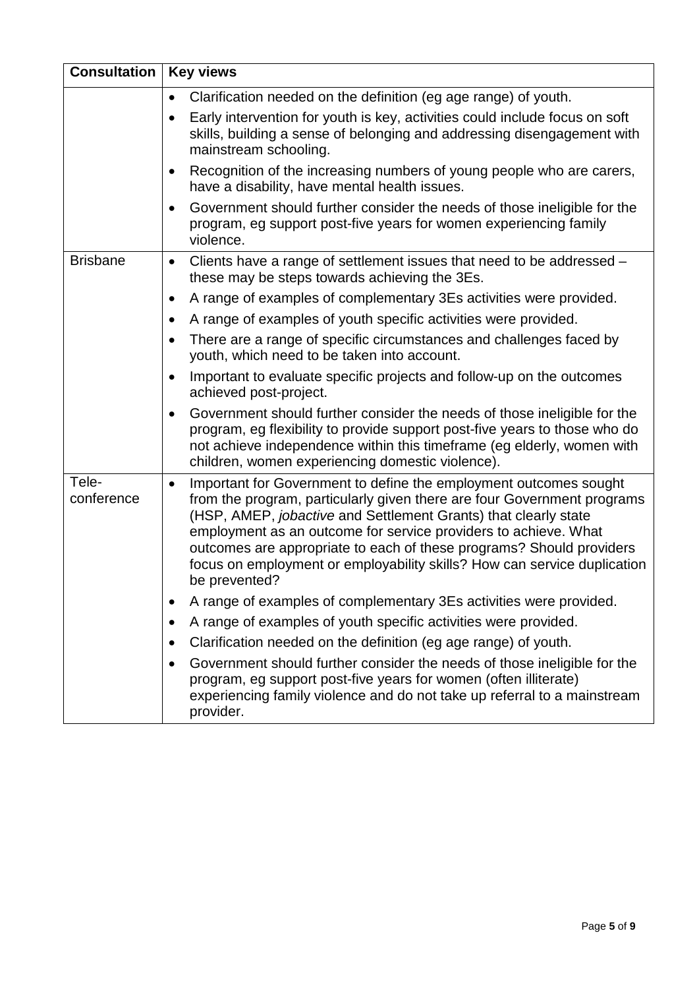| <b>Consultation</b> | <b>Key views</b>                                                                                                                                                                                                                                                                                                                                                                                                                                                            |
|---------------------|-----------------------------------------------------------------------------------------------------------------------------------------------------------------------------------------------------------------------------------------------------------------------------------------------------------------------------------------------------------------------------------------------------------------------------------------------------------------------------|
|                     | Clarification needed on the definition (eg age range) of youth.<br>$\bullet$                                                                                                                                                                                                                                                                                                                                                                                                |
|                     | Early intervention for youth is key, activities could include focus on soft<br>$\bullet$<br>skills, building a sense of belonging and addressing disengagement with<br>mainstream schooling.                                                                                                                                                                                                                                                                                |
|                     | Recognition of the increasing numbers of young people who are carers,<br>$\bullet$<br>have a disability, have mental health issues.                                                                                                                                                                                                                                                                                                                                         |
|                     | Government should further consider the needs of those ineligible for the<br>$\bullet$<br>program, eg support post-five years for women experiencing family<br>violence.                                                                                                                                                                                                                                                                                                     |
| <b>Brisbane</b>     | Clients have a range of settlement issues that need to be addressed -<br>$\bullet$<br>these may be steps towards achieving the 3Es.                                                                                                                                                                                                                                                                                                                                         |
|                     | A range of examples of complementary 3Es activities were provided.<br>$\bullet$                                                                                                                                                                                                                                                                                                                                                                                             |
|                     | A range of examples of youth specific activities were provided.<br>$\bullet$                                                                                                                                                                                                                                                                                                                                                                                                |
|                     | There are a range of specific circumstances and challenges faced by<br>$\bullet$<br>youth, which need to be taken into account.                                                                                                                                                                                                                                                                                                                                             |
|                     | Important to evaluate specific projects and follow-up on the outcomes<br>$\bullet$<br>achieved post-project.                                                                                                                                                                                                                                                                                                                                                                |
|                     | Government should further consider the needs of those ineligible for the<br>$\bullet$<br>program, eg flexibility to provide support post-five years to those who do<br>not achieve independence within this timeframe (eg elderly, women with<br>children, women experiencing domestic violence).                                                                                                                                                                           |
| Tele-<br>conference | Important for Government to define the employment outcomes sought<br>$\bullet$<br>from the program, particularly given there are four Government programs<br>(HSP, AMEP, <i>jobactive</i> and Settlement Grants) that clearly state<br>employment as an outcome for service providers to achieve. What<br>outcomes are appropriate to each of these programs? Should providers<br>focus on employment or employability skills? How can service duplication<br>be prevented? |
|                     | A range of examples of complementary 3Es activities were provided.                                                                                                                                                                                                                                                                                                                                                                                                          |
|                     | A range of examples of youth specific activities were provided.                                                                                                                                                                                                                                                                                                                                                                                                             |
|                     | Clarification needed on the definition (eg age range) of youth.<br>٠                                                                                                                                                                                                                                                                                                                                                                                                        |
|                     | Government should further consider the needs of those ineligible for the<br>٠<br>program, eg support post-five years for women (often illiterate)<br>experiencing family violence and do not take up referral to a mainstream<br>provider.                                                                                                                                                                                                                                  |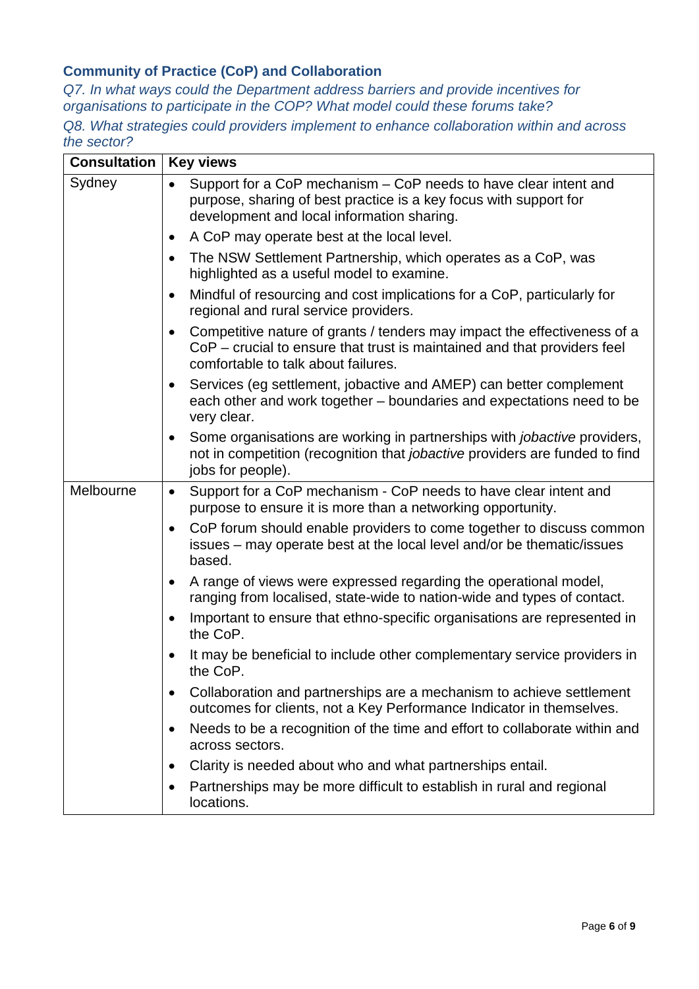## **Community of Practice (CoP) and Collaboration**

*Q7. In what ways could the Department address barriers and provide incentives for organisations to participate in the COP? What model could these forums take?* 

*Q8. What strategies could providers implement to enhance collaboration within and across the sector?* 

| Consultation | <b>Key views</b>                                                                                                                                                                                         |
|--------------|----------------------------------------------------------------------------------------------------------------------------------------------------------------------------------------------------------|
| Sydney       | Support for a CoP mechanism – CoP needs to have clear intent and<br>purpose, sharing of best practice is a key focus with support for<br>development and local information sharing.                      |
|              | A CoP may operate best at the local level.<br>$\bullet$                                                                                                                                                  |
|              | The NSW Settlement Partnership, which operates as a CoP, was<br>$\bullet$<br>highlighted as a useful model to examine.                                                                                   |
|              | Mindful of resourcing and cost implications for a CoP, particularly for<br>$\bullet$<br>regional and rural service providers.                                                                            |
|              | Competitive nature of grants / tenders may impact the effectiveness of a<br>$\bullet$<br>CoP - crucial to ensure that trust is maintained and that providers feel<br>comfortable to talk about failures. |
|              | Services (eg settlement, jobactive and AMEP) can better complement<br>$\bullet$<br>each other and work together - boundaries and expectations need to be<br>very clear.                                  |
|              | Some organisations are working in partnerships with <i>jobactive</i> providers,<br>$\bullet$<br>not in competition (recognition that <i>jobactive</i> providers are funded to find<br>jobs for people).  |
| Melbourne    | Support for a CoP mechanism - CoP needs to have clear intent and<br>$\bullet$<br>purpose to ensure it is more than a networking opportunity.                                                             |
|              | CoP forum should enable providers to come together to discuss common<br>$\bullet$<br>issues – may operate best at the local level and/or be thematic/issues<br>based.                                    |
|              | A range of views were expressed regarding the operational model,<br>$\bullet$<br>ranging from localised, state-wide to nation-wide and types of contact.                                                 |
|              | Important to ensure that ethno-specific organisations are represented in<br>the CoP.                                                                                                                     |
|              | It may be beneficial to include other complementary service providers in<br>the CoP.                                                                                                                     |
|              | Collaboration and partnerships are a mechanism to achieve settlement<br>outcomes for clients, not a Key Performance Indicator in themselves.                                                             |
|              | Needs to be a recognition of the time and effort to collaborate within and<br>$\bullet$<br>across sectors.                                                                                               |
|              | Clarity is needed about who and what partnerships entail.<br>$\bullet$                                                                                                                                   |
|              | Partnerships may be more difficult to establish in rural and regional<br>$\bullet$<br>locations.                                                                                                         |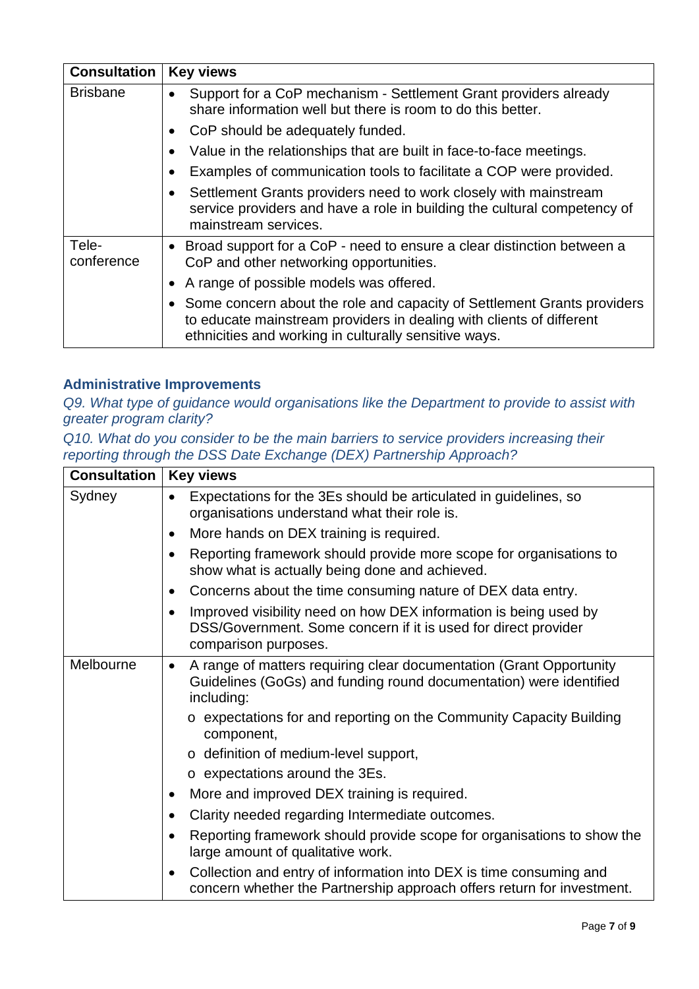| <b>Consultation</b> | <b>Key views</b>                                                                                                                                                                                           |
|---------------------|------------------------------------------------------------------------------------------------------------------------------------------------------------------------------------------------------------|
| <b>Brisbane</b>     | Support for a CoP mechanism - Settlement Grant providers already<br>share information well but there is room to do this better.                                                                            |
|                     | CoP should be adequately funded.                                                                                                                                                                           |
|                     | Value in the relationships that are built in face-to-face meetings.                                                                                                                                        |
|                     | Examples of communication tools to facilitate a COP were provided.                                                                                                                                         |
|                     | Settlement Grants providers need to work closely with mainstream<br>service providers and have a role in building the cultural competency of<br>mainstream services.                                       |
| Tele-<br>conference | • Broad support for a CoP - need to ensure a clear distinction between a<br>CoP and other networking opportunities.                                                                                        |
|                     | • A range of possible models was offered.                                                                                                                                                                  |
|                     | • Some concern about the role and capacity of Settlement Grants providers<br>to educate mainstream providers in dealing with clients of different<br>ethnicities and working in culturally sensitive ways. |

#### **Administrative Improvements**

*Q9. What type of guidance would organisations like the Department to provide to assist with greater program clarity?* 

*Q10. What do you consider to be the main barriers to service providers increasing their reporting through the DSS Date Exchange (DEX) Partnership Approach?* 

| <b>Consultation</b> | <b>Key views</b>                                                                                                                                                     |
|---------------------|----------------------------------------------------------------------------------------------------------------------------------------------------------------------|
| Sydney              | Expectations for the 3Es should be articulated in guidelines, so<br>organisations understand what their role is.                                                     |
|                     | More hands on DEX training is required.<br>٠                                                                                                                         |
|                     | Reporting framework should provide more scope for organisations to<br>show what is actually being done and achieved.                                                 |
|                     | Concerns about the time consuming nature of DEX data entry.<br>$\bullet$                                                                                             |
|                     | Improved visibility need on how DEX information is being used by<br>DSS/Government. Some concern if it is used for direct provider<br>comparison purposes.           |
| Melbourne           | A range of matters requiring clear documentation (Grant Opportunity<br>$\bullet$<br>Guidelines (GoGs) and funding round documentation) were identified<br>including: |
|                     | o expectations for and reporting on the Community Capacity Building<br>component,                                                                                    |
|                     | o definition of medium-level support,                                                                                                                                |
|                     | $\circ$ expectations around the 3Es.                                                                                                                                 |
|                     | More and improved DEX training is required.                                                                                                                          |
|                     | Clarity needed regarding Intermediate outcomes.                                                                                                                      |
|                     | Reporting framework should provide scope for organisations to show the<br>large amount of qualitative work.                                                          |
|                     | Collection and entry of information into DEX is time consuming and<br>concern whether the Partnership approach offers return for investment.                         |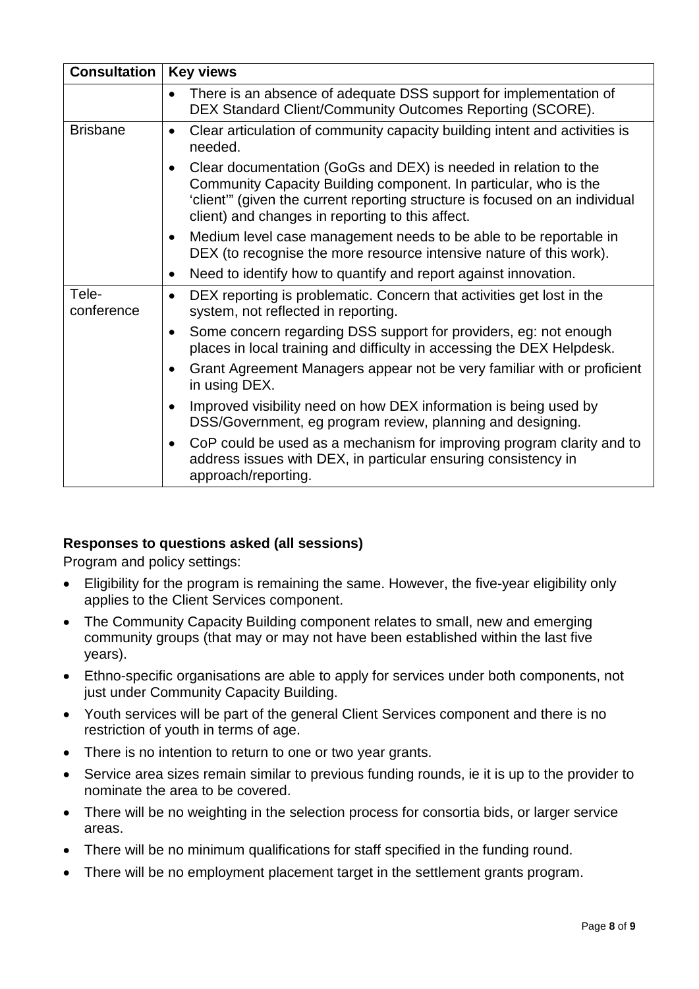| <b>Consultation</b> | <b>Key views</b>                                                                                                                                                                                                                                                        |
|---------------------|-------------------------------------------------------------------------------------------------------------------------------------------------------------------------------------------------------------------------------------------------------------------------|
|                     | There is an absence of adequate DSS support for implementation of<br>$\bullet$<br>DEX Standard Client/Community Outcomes Reporting (SCORE).                                                                                                                             |
| <b>Brisbane</b>     | Clear articulation of community capacity building intent and activities is<br>$\bullet$<br>needed.                                                                                                                                                                      |
|                     | Clear documentation (GoGs and DEX) is needed in relation to the<br>Community Capacity Building component. In particular, who is the<br>'client'" (given the current reporting structure is focused on an individual<br>client) and changes in reporting to this affect. |
|                     | Medium level case management needs to be able to be reportable in<br>$\bullet$<br>DEX (to recognise the more resource intensive nature of this work).                                                                                                                   |
|                     | Need to identify how to quantify and report against innovation.<br>$\bullet$                                                                                                                                                                                            |
| Tele-<br>conference | DEX reporting is problematic. Concern that activities get lost in the<br>$\bullet$<br>system, not reflected in reporting.                                                                                                                                               |
|                     | Some concern regarding DSS support for providers, eg: not enough<br>$\bullet$<br>places in local training and difficulty in accessing the DEX Helpdesk.                                                                                                                 |
|                     | Grant Agreement Managers appear not be very familiar with or proficient<br>in using DEX.                                                                                                                                                                                |
|                     | Improved visibility need on how DEX information is being used by<br>$\bullet$<br>DSS/Government, eg program review, planning and designing.                                                                                                                             |
|                     | CoP could be used as a mechanism for improving program clarity and to<br>$\bullet$<br>address issues with DEX, in particular ensuring consistency in<br>approach/reporting.                                                                                             |

## **Responses to questions asked (all sessions)**

Program and policy settings:

- Eligibility for the program is remaining the same. However, the five-year eligibility only applies to the Client Services component.
- The Community Capacity Building component relates to small, new and emerging community groups (that may or may not have been established within the last five years).
- Ethno-specific organisations are able to apply for services under both components, not just under Community Capacity Building.
- Youth services will be part of the general Client Services component and there is no restriction of youth in terms of age.
- There is no intention to return to one or two year grants.
- Service area sizes remain similar to previous funding rounds, ie it is up to the provider to nominate the area to be covered.
- There will be no weighting in the selection process for consortia bids, or larger service areas.
- There will be no minimum qualifications for staff specified in the funding round.
- There will be no employment placement target in the settlement grants program.